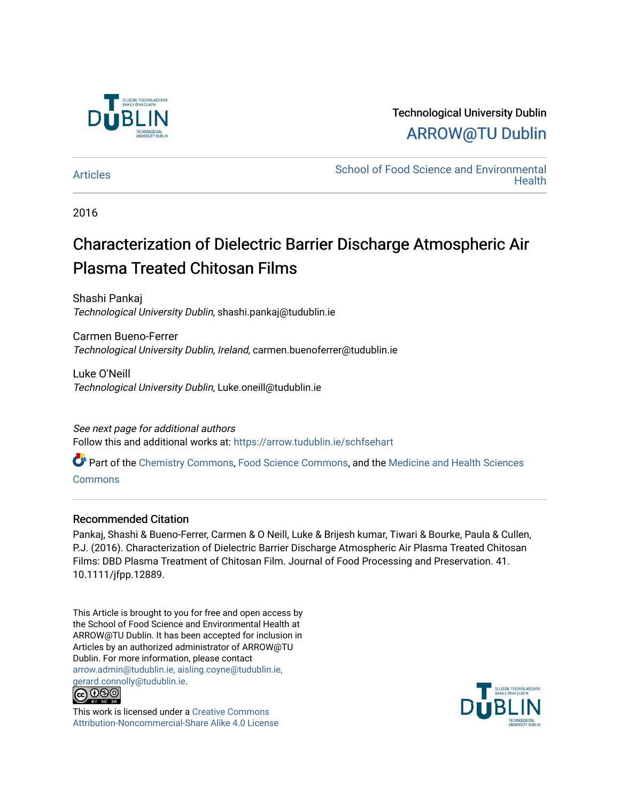

# Technological University Dublin [ARROW@TU Dublin](https://arrow.tudublin.ie/)

[Articles](https://arrow.tudublin.ie/schfsehart) **School of Food Science and Environmental Health** 

2016

# Characterization of Dielectric Barrier Discharge Atmospheric Air Plasma Treated Chitosan Films

Shashi Pankaj Technological University Dublin, shashi.pankaj@tudublin.ie

Carmen Bueno-Ferrer Technological University Dublin, Ireland, carmen.buenoferrer@tudublin.ie

Luke O'Neill Technological University Dublin, Luke.oneill@tudublin.ie

See next page for additional authors Follow this and additional works at: [https://arrow.tudublin.ie/schfsehart](https://arrow.tudublin.ie/schfsehart?utm_source=arrow.tudublin.ie%2Fschfsehart%2F466&utm_medium=PDF&utm_campaign=PDFCoverPages) 

Part of the [Chemistry Commons,](http://network.bepress.com/hgg/discipline/131?utm_source=arrow.tudublin.ie%2Fschfsehart%2F466&utm_medium=PDF&utm_campaign=PDFCoverPages) [Food Science Commons,](http://network.bepress.com/hgg/discipline/84?utm_source=arrow.tudublin.ie%2Fschfsehart%2F466&utm_medium=PDF&utm_campaign=PDFCoverPages) and the [Medicine and Health Sciences](http://network.bepress.com/hgg/discipline/648?utm_source=arrow.tudublin.ie%2Fschfsehart%2F466&utm_medium=PDF&utm_campaign=PDFCoverPages)  [Commons](http://network.bepress.com/hgg/discipline/648?utm_source=arrow.tudublin.ie%2Fschfsehart%2F466&utm_medium=PDF&utm_campaign=PDFCoverPages)

## Recommended Citation

Pankaj, Shashi & Bueno-Ferrer, Carmen & O Neill, Luke & Brijesh kumar, Tiwari & Bourke, Paula & Cullen, P.J. (2016). Characterization of Dielectric Barrier Discharge Atmospheric Air Plasma Treated Chitosan Films: DBD Plasma Treatment of Chitosan Film. Journal of Food Processing and Preservation. 41. 10.1111/jfpp.12889.

This Article is brought to you for free and open access by the School of Food Science and Environmental Health at ARROW@TU Dublin. It has been accepted for inclusion in Articles by an authorized administrator of ARROW@TU Dublin. For more information, please contact [arrow.admin@tudublin.ie, aisling.coyne@tudublin.ie,](mailto:arrow.admin@tudublin.ie,%20aisling.coyne@tudublin.ie,%20gerard.connolly@tudublin.ie)  [gerard.connolly@tudublin.ie](mailto:arrow.admin@tudublin.ie,%20aisling.coyne@tudublin.ie,%20gerard.connolly@tudublin.ie).



This work is licensed under a [Creative Commons](http://creativecommons.org/licenses/by-nc-sa/4.0/) [Attribution-Noncommercial-Share Alike 4.0 License](http://creativecommons.org/licenses/by-nc-sa/4.0/)

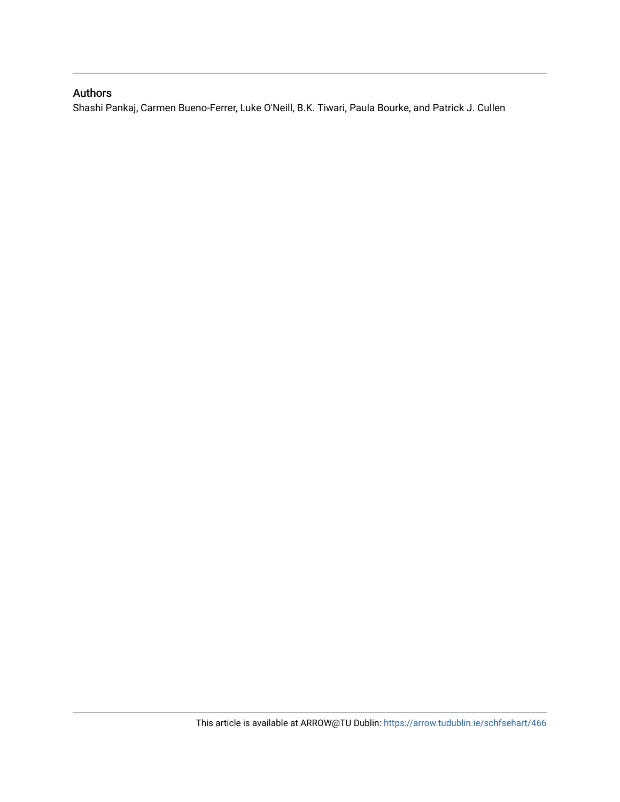# Authors

Shashi Pankaj, Carmen Bueno-Ferrer, Luke O'Neill, B.K. Tiwari, Paula Bourke, and Patrick J. Cullen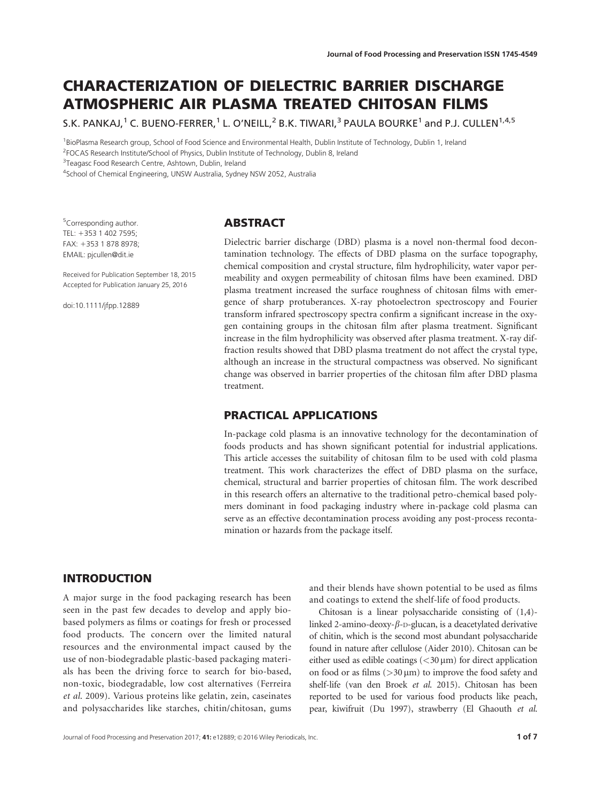# CHARACTERIZATION OF DIELECTRIC BARRIER DISCHARGE ATMOSPHERIC AIR PLASMA TREATED CHITOSAN FILMS

S.K. PANKAJ,<sup>1</sup> C. BUENO-FERRER,<sup>1</sup> L. O'NEILL,<sup>2</sup> B.K. TIWARI,<sup>3</sup> PAULA BOURKE<sup>1</sup> and P.J. CULLEN<sup>1,4,5</sup>

1 BioPlasma Research group, School of Food Science and Environmental Health, Dublin Institute of Technology, Dublin 1, Ireland <sup>2</sup>FOCAS Research Institute/School of Physics, Dublin Institute of Technology, Dublin 8, Ireland

<sup>3</sup>Teagasc Food Research Centre, Ashtown, Dublin, Ireland

4 School of Chemical Engineering, UNSW Australia, Sydney NSW 2052, Australia

<sup>5</sup>Corresponding author. TEL: +353 1 402 7595; FAX: +353 1 878 8978; EMAIL: pjcullen@dit.ie

Received for Publication September 18, 2015 Accepted for Publication January 25, 2016

doi:10.1111/jfpp.12889

#### **ABSTRACT**

Dielectric barrier discharge (DBD) plasma is a novel non-thermal food decontamination technology. The effects of DBD plasma on the surface topography, chemical composition and crystal structure, film hydrophilicity, water vapor permeability and oxygen permeability of chitosan films have been examined. DBD plasma treatment increased the surface roughness of chitosan films with emergence of sharp protuberances. X-ray photoelectron spectroscopy and Fourier transform infrared spectroscopy spectra confirm a significant increase in the oxygen containing groups in the chitosan film after plasma treatment. Significant increase in the film hydrophilicity was observed after plasma treatment. X-ray diffraction results showed that DBD plasma treatment do not affect the crystal type, although an increase in the structural compactness was observed. No significant change was observed in barrier properties of the chitosan film after DBD plasma treatment.

#### PRACTICAL APPLICATIONS

In-package cold plasma is an innovative technology for the decontamination of foods products and has shown significant potential for industrial applications. This article accesses the suitability of chitosan film to be used with cold plasma treatment. This work characterizes the effect of DBD plasma on the surface, chemical, structural and barrier properties of chitosan film. The work described in this research offers an alternative to the traditional petro-chemical based polymers dominant in food packaging industry where in-package cold plasma can serve as an effective decontamination process avoiding any post-process recontamination or hazards from the package itself.

## INTRODUCTION

A major surge in the food packaging research has been seen in the past few decades to develop and apply biobased polymers as films or coatings for fresh or processed food products. The concern over the limited natural resources and the environmental impact caused by the use of non-biodegradable plastic-based packaging materials has been the driving force to search for bio-based, non-toxic, biodegradable, low cost alternatives (Ferreira et al. 2009). Various proteins like gelatin, zein, caseinates and polysaccharides like starches, chitin/chitosan, gums

and their blends have shown potential to be used as films and coatings to extend the shelf-life of food products.

Chitosan is a linear polysaccharide consisting of (1,4) linked 2-amino-deoxy- $\beta$ -D-glucan, is a deacetylated derivative of chitin, which is the second most abundant polysaccharide found in nature after cellulose (Aider 2010). Chitosan can be either used as edible coatings  $(<$ 30  $\mu$ m) for direct application on food or as films  $(>30 \,\mu m)$  to improve the food safety and shelf-life (van den Broek et al. 2015). Chitosan has been reported to be used for various food products like peach, pear, kiwifruit (Du 1997), strawberry (El Ghaouth et al.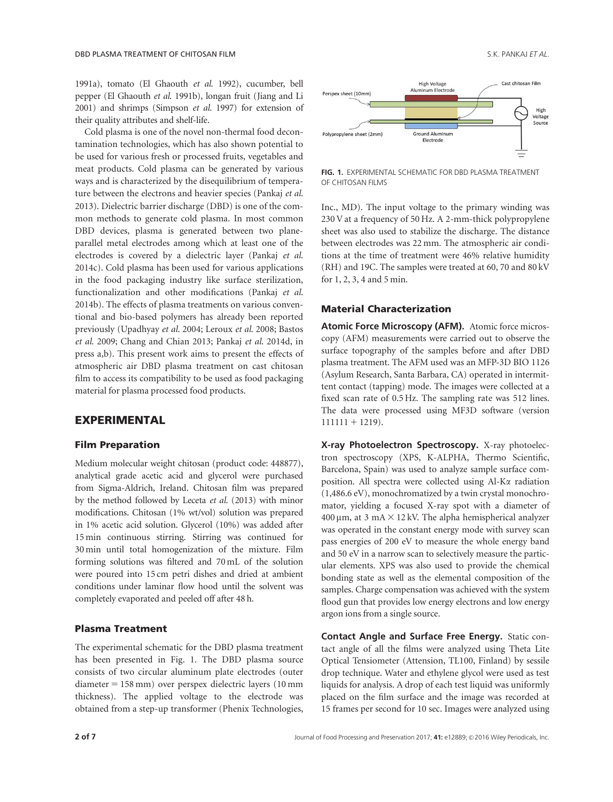1991a), tomato (El Ghaouth et al. 1992), cucumber, bell pepper (El Ghaouth et al. 1991b), longan fruit (Jiang and Li 2001) and shrimps (Simpson et al. 1997) for extension of their quality attributes and shelf-life.

Cold plasma is one of the novel non-thermal food decontamination technologies, which has also shown potential to be used for various fresh or processed fruits, vegetables and meat products. Cold plasma can be generated by various ways and is characterized by the disequilibrium of temperature between the electrons and heavier species (Pankaj et al. 2013). Dielectric barrier discharge (DBD) is one of the common methods to generate cold plasma. In most common DBD devices, plasma is generated between two planeparallel metal electrodes among which at least one of the electrodes is covered by a dielectric layer (Pankaj et al. 2014c). Cold plasma has been used for various applications in the food packaging industry like surface sterilization, functionalization and other modifications (Pankaj et al. 2014b). The effects of plasma treatments on various conventional and bio-based polymers has already been reported previously (Upadhyay et al. 2004; Leroux et al. 2008; Bastos et al. 2009; Chang and Chian 2013; Pankaj et al. 2014d, in press a,b). This present work aims to present the effects of atmospheric air DBD plasma treatment on cast chitosan film to access its compatibility to be used as food packaging material for plasma processed food products.

### EXPERIMENTAL

#### Film Preparation

Medium molecular weight chitosan (product code: 448877), analytical grade acetic acid and glycerol were purchased from Sigma-Aldrich, Ireland. Chitosan film was prepared by the method followed by Leceta et al. (2013) with minor modifications. Chitosan (1% wt/vol) solution was prepared in 1% acetic acid solution. Glycerol (10%) was added after 15 min continuous stirring. Stirring was continued for 30 min until total homogenization of the mixture. Film forming solutions was filtered and 70 mL of the solution were poured into 15 cm petri dishes and dried at ambient conditions under laminar flow hood until the solvent was completely evaporated and peeled off after 48 h.

#### Plasma Treatment

The experimental schematic for the DBD plasma treatment has been presented in Fig. 1. The DBD plasma source consists of two circular aluminum plate electrodes (outer  $diameter = 158 \text{ mm})$  over perspex dielectric layers (10 mm) thickness). The applied voltage to the electrode was obtained from a step-up transformer (Phenix Technologies,



FIG. 1. EXPERIMENTAL SCHEMATIC FOR DRD PLASMA TREATMENT OF CHITOSAN FILMS

Inc., MD). The input voltage to the primary winding was 230 V at a frequency of 50 Hz. A 2-mm-thick polypropylene sheet was also used to stabilize the discharge. The distance between electrodes was 22 mm. The atmospheric air conditions at the time of treatment were 46% relative humidity (RH) and 19C. The samples were treated at 60, 70 and 80 kV for 1, 2, 3, 4 and 5 min.

#### Material Characterization

Atomic Force Microscopy (AFM). Atomic force microscopy (AFM) measurements were carried out to observe the surface topography of the samples before and after DBD plasma treatment. The AFM used was an MFP-3D BIO 1126 (Asylum Research, Santa Barbara, CA) operated in intermittent contact (tapping) mode. The images were collected at a fixed scan rate of 0.5 Hz. The sampling rate was 512 lines. The data were processed using MF3D software (version  $111111 + 1219$ .

X-ray Photoelectron Spectroscopy. X-ray photoelectron spectroscopy (XPS, K-ALPHA, Thermo Scientific, Barcelona, Spain) was used to analyze sample surface composition. All spectra were collected using Al-Ka radiation (1,486.6 eV), monochromatized by a twin crystal monochromator, yielding a focused X-ray spot with a diameter of 400  $\mu$ m, at 3 mA  $\times$  12 kV. The alpha hemispherical analyzer was operated in the constant energy mode with survey scan pass energies of 200 eV to measure the whole energy band and 50 eV in a narrow scan to selectively measure the particular elements. XPS was also used to provide the chemical bonding state as well as the elemental composition of the samples. Charge compensation was achieved with the system flood gun that provides low energy electrons and low energy argon ions from a single source.

Contact Angle and Surface Free Energy. Static contact angle of all the films were analyzed using Theta Lite Optical Tensiometer (Attension, TL100, Finland) by sessile drop technique. Water and ethylene glycol were used as test liquids for analysis. A drop of each test liquid was uniformly placed on the film surface and the image was recorded at 15 frames per second for 10 sec. Images were analyzed using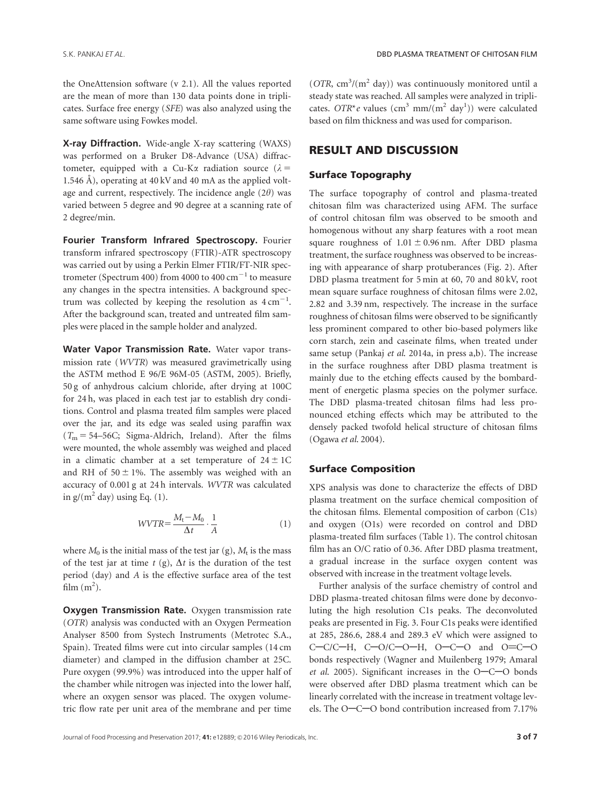the OneAttension software (v 2.1). All the values reported are the mean of more than 130 data points done in triplicates. Surface free energy (SFE) was also analyzed using the same software using Fowkes model.

X-ray Diffraction. Wide-angle X-ray scattering (WAXS) was performed on a Bruker D8-Advance (USA) diffractometer, equipped with a Cu-K $\alpha$  radiation source ( $\lambda =$ 1.546 Å), operating at  $40 \mathrm{kV}$  and  $40 \mathrm{mA}$  as the applied voltage and current, respectively. The incidence angle  $(2\theta)$  was varied between 5 degree and 90 degree at a scanning rate of 2 degree/min.

Fourier Transform Infrared Spectroscopy. Fourier transform infrared spectroscopy (FTIR)-ATR spectroscopy was carried out by using a Perkin Elmer FTIR/FT-NIR spectrometer (Spectrum 400) from 4000 to 400  $\text{cm}^{-1}$  to measure any changes in the spectra intensities. A background spectrum was collected by keeping the resolution as  $4 \text{ cm}^{-1}$ . After the background scan, treated and untreated film samples were placed in the sample holder and analyzed.

Water Vapor Transmission Rate. Water vapor transmission rate (WVTR) was measured gravimetrically using the ASTM method E 96/E 96M-05 (ASTM, 2005). Briefly, 50 g of anhydrous calcium chloride, after drying at 100C for 24 h, was placed in each test jar to establish dry conditions. Control and plasma treated film samples were placed over the jar, and its edge was sealed using paraffin wax  $(T_m = 54–56C;$  Sigma-Aldrich, Ireland). After the films were mounted, the whole assembly was weighed and placed in a climatic chamber at a set temperature of  $24 \pm 10$ and RH of  $50 \pm 1\%$ . The assembly was weighed with an accuracy of 0.001 g at 24 h intervals. WVTR was calculated in  $g/(m^2 \text{ day})$  using Eq. (1).

$$
WVTR = \frac{M_{\rm t} - M_0}{\Delta t} \cdot \frac{1}{A} \tag{1}
$$

where  $M_0$  is the initial mass of the test jar (g),  $M_t$  is the mass of the test jar at time  $t$  (g),  $\Delta t$  is the duration of the test period (day) and A is the effective surface area of the test film  $(m^2)$ .

**Oxygen Transmission Rate.** Oxygen transmission rate (OTR) analysis was conducted with an Oxygen Permeation Analyser 8500 from Systech Instruments (Metrotec S.A., Spain). Treated films were cut into circular samples (14 cm diameter) and clamped in the diffusion chamber at 25C. Pure oxygen (99.9%) was introduced into the upper half of the chamber while nitrogen was injected into the lower half, where an oxygen sensor was placed. The oxygen volumetric flow rate per unit area of the membrane and per time

(OTR,  $\text{cm}^3/\text{(m}^2 \text{ day})$ ) was continuously monitored until a steady state was reached. All samples were analyzed in triplicates. OTR<sup>\*</sup>e values (cm<sup>3</sup> mm/(m<sup>2</sup> day<sup>1</sup>)) were calculated based on film thickness and was used for comparison.

#### RESULT AND DISCUSSION

#### Surface Topography

The surface topography of control and plasma-treated chitosan film was characterized using AFM. The surface of control chitosan film was observed to be smooth and homogenous without any sharp features with a root mean square roughness of  $1.01 \pm 0.96$  nm. After DBD plasma treatment, the surface roughness was observed to be increasing with appearance of sharp protuberances (Fig. 2). After DBD plasma treatment for 5 min at 60, 70 and 80 kV, root mean square surface roughness of chitosan films were 2.02, 2.82 and 3.39 nm, respectively. The increase in the surface roughness of chitosan films were observed to be significantly less prominent compared to other bio-based polymers like corn starch, zein and caseinate films, when treated under same setup (Pankaj et al. 2014a, in press a,b). The increase in the surface roughness after DBD plasma treatment is mainly due to the etching effects caused by the bombardment of energetic plasma species on the polymer surface. The DBD plasma-treated chitosan films had less pronounced etching effects which may be attributed to the densely packed twofold helical structure of chitosan films (Ogawa et al. 2004).

#### Surface Composition

XPS analysis was done to characterize the effects of DBD plasma treatment on the surface chemical composition of the chitosan films. Elemental composition of carbon (C1s) and oxygen (O1s) were recorded on control and DBD plasma-treated film surfaces (Table 1). The control chitosan film has an O/C ratio of 0.36. After DBD plasma treatment, a gradual increase in the surface oxygen content was observed with increase in the treatment voltage levels.

Further analysis of the surface chemistry of control and DBD plasma-treated chitosan films were done by deconvoluting the high resolution C1s peaks. The deconvoluted peaks are presented in Fig. 3. Four C1s peaks were identified at 285, 286.6, 288.4 and 289.3 eV which were assigned to  $C-C/C-H$ ,  $C-O/C-O-H$ ,  $O-C-O$  and  $O=C-O$ bonds respectively (Wagner and Muilenberg 1979; Amaral et al. 2005). Significant increases in the  $O-C-O$  bonds were observed after DBD plasma treatment which can be linearly correlated with the increase in treatment voltage levels. The  $O$ — $C$ — $O$  bond contribution increased from 7.17%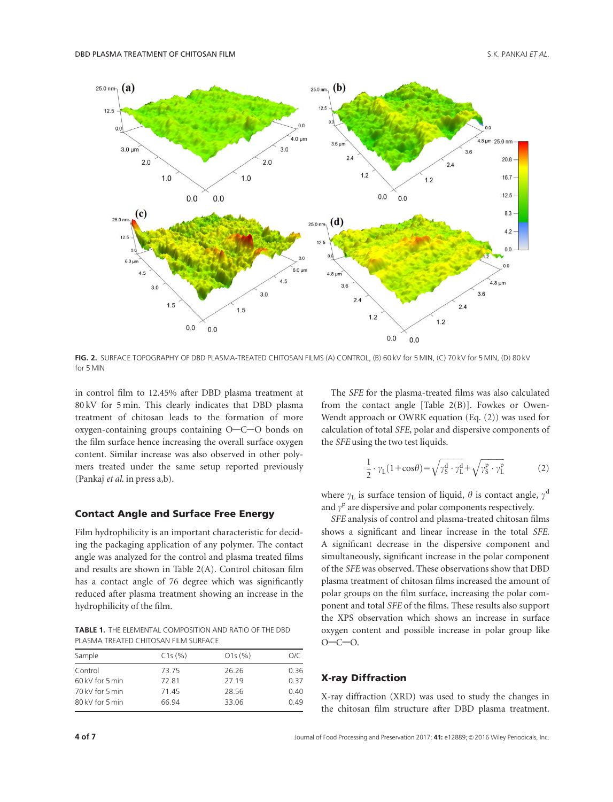

FIG. 2. SURFACE TOPOGRAPHY OF DBD PLASMA-TREATED CHITOSAN FILMS (A) CONTROL, (B) 60 kV for 5 MIN, (C) 70 kV for 5 MIN, (D) 80 kV for 5 MIN

in control film to 12.45% after DBD plasma treatment at 80 kV for 5 min. This clearly indicates that DBD plasma treatment of chitosan leads to the formation of more oxygen-containing groups containing O-C-O bonds on the film surface hence increasing the overall surface oxygen content. Similar increase was also observed in other polymers treated under the same setup reported previously (Pankaj et al. in press a,b).

#### Contact Angle and Surface Free Energy

Film hydrophilicity is an important characteristic for deciding the packaging application of any polymer. The contact angle was analyzed for the control and plasma treated films and results are shown in Table 2(A). Control chitosan film has a contact angle of 76 degree which was significantly reduced after plasma treatment showing an increase in the hydrophilicity of the film.

TABLE 1. THE ELEMENTAL COMPOSITION AND RATIO OF THE DBD PLASMA TREATED CHITOSAN FILM SURFACE

| Sample          | C1s (%) | $O1s$ $(\% )$ | O/C  |
|-----------------|---------|---------------|------|
| Control         | 73.75   | 26.26         | 0.36 |
| 60 kV for 5 min | 72.81   | 27 19         | 0.37 |
| 70 kV for 5 min | 71.45   | 28.56         | 0.40 |
| 80 kV for 5 min | 66.94   | 33.06         | 0.49 |

The SFE for the plasma-treated films was also calculated from the contact angle [Table 2(B)]. Fowkes or Owen-Wendt approach or OWRK equation (Eq. (2)) was used for calculation of total SFE, polar and dispersive components of the SFE using the two test liquids.

$$
\frac{1}{2} \cdot \gamma_{\rm L} (1 + \cos \theta) = \sqrt{\gamma_{\rm S}^{\rm d} \cdot \gamma_{\rm L}^{\rm d}} + \sqrt{\gamma_{\rm S}^{\rm p} \cdot \gamma_{\rm L}^{\rm p}} \tag{2}
$$

where  $\gamma_L$  is surface tension of liquid,  $\theta$  is contact angle,  $\gamma^d$ and  $\gamma^{\rm p}$  are dispersive and polar components respectively.

SFE analysis of control and plasma-treated chitosan films shows a significant and linear increase in the total SFE. A significant decrease in the dispersive component and simultaneously, significant increase in the polar component of the SFE was observed. These observations show that DBD plasma treatment of chitosan films increased the amount of polar groups on the film surface, increasing the polar component and total SFE of the films. These results also support the XPS observation which shows an increase in surface oxygen content and possible increase in polar group like  $O - C - O.$ 

#### X-ray Diffraction

X-ray diffraction (XRD) was used to study the changes in the chitosan film structure after DBD plasma treatment.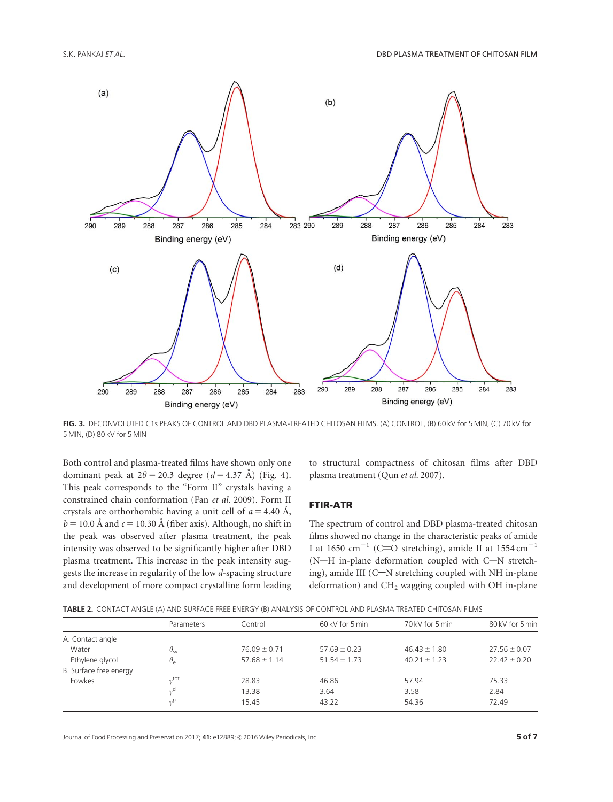

FIG. 3. DECONVOLUTED C1s PEAKS OF CONTROL AND DBD PLASMA-TREATED CHITOSAN FILMS. (A) CONTROL, (B) 60 kV for 5 MIN, (C) 70 kV for 5 MIN, (D) 80 kV for 5 MIN

Both control and plasma-treated films have shown only one dominant peak at  $2\theta = 20.3$  degree  $(d = 4.37 \text{ Å})$  (Fig. 4). This peak corresponds to the "Form II" crystals having a constrained chain conformation (Fan et al. 2009). Form II crystals are orthorhombic having a unit cell of  $a = 4.40 \text{ Å}$ ,  $b = 10.0$  Å and  $c = 10.30$  Å (fiber axis). Although, no shift in the peak was observed after plasma treatment, the peak intensity was observed to be significantly higher after DBD plasma treatment. This increase in the peak intensity suggests the increase in regularity of the low d-spacing structure and development of more compact crystalline form leading

to structural compactness of chitosan films after DBD plasma treatment (Qun et al. 2007).

#### FTIR-ATR

The spectrum of control and DBD plasma-treated chitosan films showed no change in the characteristic peaks of amide I at 1650 cm<sup>-1</sup> (C=O stretching), amide II at 1554 cm<sup>-1</sup>  $(N-H)$  in-plane deformation coupled with  $C-N$  stretching), amide III (C-N stretching coupled with NH in-plane deformation) and  $CH<sub>2</sub>$  wagging coupled with OH in-plane

| TABLE 2. CONTACT ANGLE (A) AND SURFACE FREE ENERGY (B) ANALYSIS OF CONTROL AND PLASMA TREATED CHITOSAN FILMS |  |  |  |  |  |  |
|--------------------------------------------------------------------------------------------------------------|--|--|--|--|--|--|
|--------------------------------------------------------------------------------------------------------------|--|--|--|--|--|--|

|                        | Parameters       | Control          | 60 kV for 5 min  | 70 kV for 5 min  | 80 kV for 5 min  |
|------------------------|------------------|------------------|------------------|------------------|------------------|
| A. Contact angle       |                  |                  |                  |                  |                  |
| Water                  | $\theta_{\rm w}$ | $76.09 \pm 0.71$ | $57.69 \pm 0.23$ | $46.43 \pm 1.80$ | $27.56 \pm 0.07$ |
| Ethylene glycol        | $\theta_{\rm e}$ | $57.68 \pm 1.14$ | $51.54 \pm 1.73$ | $40.21 \pm 1.23$ | $22.42 \pm 0.20$ |
| B. Surface free energy |                  |                  |                  |                  |                  |
| Fowkes                 | <sub>1</sub> tot | 28.83            | 46.86            | 57.94            | 75.33            |
|                        | $\gamma^{\rm d}$ | 13.38            | 3.64             | 3.58             | 2.84             |
|                        |                  | 15.45            | 43.22            | 54.36            | 72.49            |
|                        |                  |                  |                  |                  |                  |

Journal of Food Processing and Preservation 2017; 41: e12889; © 2016 Wiley Periodicals, Inc.  $5$  of 7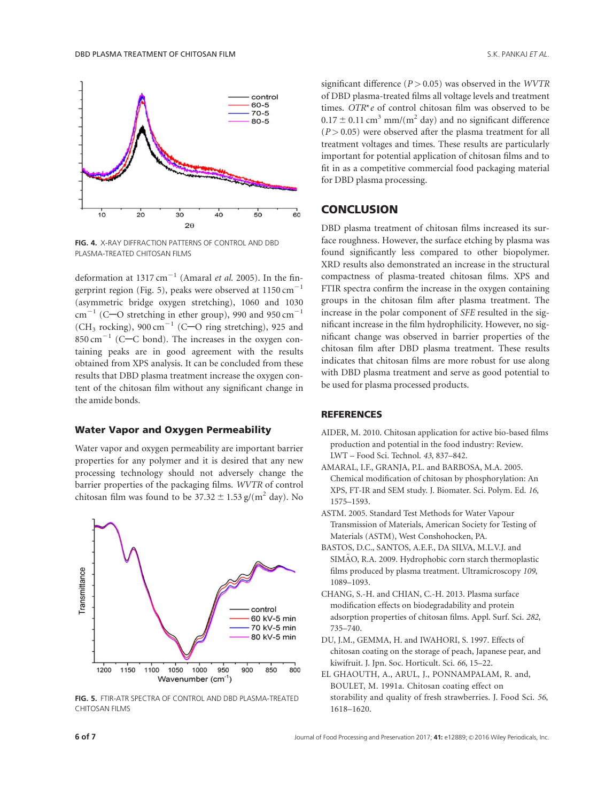

FIG. 4. X-RAY DIFFRACTION PATTERNS OF CONTROL AND DBD PLASMA-TREATED CHITOSAN FILMS

deformation at  $1317 \text{ cm}^{-1}$  (Amaral *et al.* 2005). In the fingerprint region (Fig. 5), peaks were observed at  $1150 \text{ cm}^{-1}$ (asymmetric bridge oxygen stretching), 1060 and 1030  $cm^{-1}$  (C-O stretching in ether group), 990 and 950 cm<sup>-1</sup> (CH<sub>3</sub> rocking), 900 cm<sup>-1</sup> (C-O ring stretching), 925 and  $850 \text{ cm}^{-1}$  (C-C bond). The increases in the oxygen containing peaks are in good agreement with the results obtained from XPS analysis. It can be concluded from these results that DBD plasma treatment increase the oxygen content of the chitosan film without any significant change in the amide bonds.

#### Water Vapor and Oxygen Permeability

Water vapor and oxygen permeability are important barrier properties for any polymer and it is desired that any new processing technology should not adversely change the barrier properties of the packaging films. WVTR of control chitosan film was found to be  $37.32 \pm 1.53$  g/(m<sup>2</sup> day). No



FIG. 5. FTIR-ATR SPECTRA OF CONTROL AND DBD PLASMA-TREATED CHITOSAN FILMS

significant difference ( $P > 0.05$ ) was observed in the WVTR of DBD plasma-treated films all voltage levels and treatment times. OTR\*e of control chitosan film was observed to be  $0.17 \pm 0.11$  cm<sup>3</sup> mm/(m<sup>2</sup> day) and no significant difference  $(P > 0.05)$  were observed after the plasma treatment for all treatment voltages and times. These results are particularly important for potential application of chitosan films and to fit in as a competitive commercial food packaging material for DBD plasma processing.

#### **CONCLUSION**

DBD plasma treatment of chitosan films increased its surface roughness. However, the surface etching by plasma was found significantly less compared to other biopolymer. XRD results also demonstrated an increase in the structural compactness of plasma-treated chitosan films. XPS and FTIR spectra confirm the increase in the oxygen containing groups in the chitosan film after plasma treatment. The increase in the polar component of SFE resulted in the significant increase in the film hydrophilicity. However, no significant change was observed in barrier properties of the chitosan film after DBD plasma treatment. These results indicates that chitosan films are more robust for use along with DBD plasma treatment and serve as good potential to be used for plasma processed products.

#### **REFERENCES**

- AIDER, M. 2010. Chitosan application for active bio-based films production and potential in the food industry: Review. LWT – Food Sci. Technol. 43, 837–842.
- AMARAL, I.F., GRANJA, P.L. and BARBOSA, M.A. 2005. Chemical modification of chitosan by phosphorylation: An XPS, FT-IR and SEM study. J. Biomater. Sci. Polym. Ed. 16, 1575–1593.
- ASTM. 2005. Standard Test Methods for Water Vapour Transmission of Materials, American Society for Testing of Materials (ASTM), West Conshohocken, PA.
- BASTOS, D.C., SANTOS, A.E.F., DA SILVA, M.L.V.J. and SIMAO, R.A. 2009. Hydrophobic corn starch thermoplastic ~ films produced by plasma treatment. Ultramicroscopy 109, 1089–1093.
- CHANG, S.-H. and CHIAN, C.-H. 2013. Plasma surface modification effects on biodegradability and protein adsorption properties of chitosan films. Appl. Surf. Sci. 282, 735–740.
- DU, J.M., GEMMA, H. and IWAHORI, S. 1997. Effects of chitosan coating on the storage of peach, Japanese pear, and kiwifruit. J. Jpn. Soc. Horticult. Sci. 66, 15–22.
- EL GHAOUTH, A., ARUL, J., PONNAMPALAM, R. and, BOULET, M. 1991a. Chitosan coating effect on storability and quality of fresh strawberries. J. Food Sci. 56, 1618–1620.